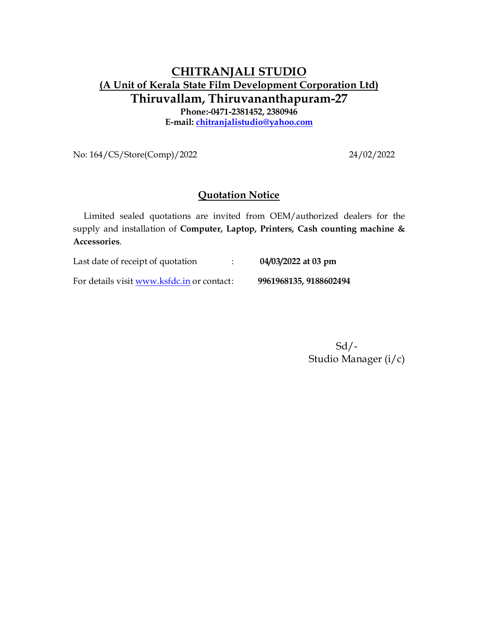## **CHITRANJALI STUDIO (A Unit of Kerala State Film Development Corporation Ltd) Thiruvallam, Thiruvananthapuram-27 Phone:-0471-2381452, 2380946 E-mail: chitranjalistudio@yahoo.com**

No: 164/CS/Store(Comp)/2022 24/02/2022

## **Quotation Notice**

 Limited sealed quotations are invited from OEM/authorized dealers for the supply and installation of **Computer, Laptop, Printers, Cash counting machine & Accessories**.

Last date of receipt of quotation : **04/03/2022 at 03 pm**

For details visit www.ksfdc.in or contact : **9961968135, 9188602494** 

 Sd/- Studio Manager (i/c)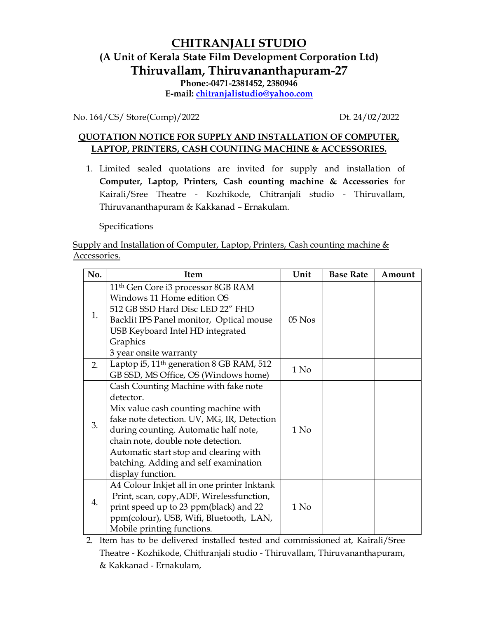## **CHITRANJALI STUDIO (A Unit of Kerala State Film Development Corporation Ltd) Thiruvallam, Thiruvananthapuram-27 Phone:-0471-2381452, 2380946 E-mail: chitranjalistudio@yahoo.com**

No. 164/CS/ Store(Comp)/2022 Dt. 24/02/2022

## **QUOTATION NOTICE FOR SUPPLY AND INSTALLATION OF COMPUTER, LAPTOP, PRINTERS, CASH COUNTING MACHINE & ACCESSORIES.**

1. Limited sealed quotations are invited for supply and installation of **Computer, Laptop, Printers, Cash counting machine & Accessories** for Kairali/Sree Theatre - Kozhikode, Chitranjali studio - Thiruvallam, Thiruvananthapuram & Kakkanad – Ernakulam.

Specifications

Supply and Installation of Computer, Laptop, Printers, Cash counting machine & Accessories.

| No. | <b>Item</b>                                                                                                                                                                                                                                                                                                                    | Unit   | <b>Base Rate</b> | Amount |
|-----|--------------------------------------------------------------------------------------------------------------------------------------------------------------------------------------------------------------------------------------------------------------------------------------------------------------------------------|--------|------------------|--------|
| 1.  | 11 <sup>th</sup> Gen Core i3 processor 8GB RAM<br>Windows 11 Home edition OS<br>512 GB SSD Hard Disc LED 22" FHD<br>Backlit IPS Panel monitor, Optical mouse<br>USB Keyboard Intel HD integrated<br>Graphics<br>3 year onsite warranty                                                                                         | 05 Nos |                  |        |
| 2.  | Laptop i5, 11 <sup>th</sup> generation 8 GB RAM, 512<br>GB SSD, MS Office, OS (Windows home)                                                                                                                                                                                                                                   | 1 No   |                  |        |
| 3.  | Cash Counting Machine with fake note<br>detector.<br>Mix value cash counting machine with<br>fake note detection. UV, MG, IR, Detection<br>during counting. Automatic half note,<br>chain note, double note detection.<br>Automatic start stop and clearing with<br>batching. Adding and self examination<br>display function. | $1$ No |                  |        |
| 4.  | A4 Colour Inkjet all in one printer Inktank<br>Print, scan, copy, ADF, Wirelessfunction,<br>print speed up to 23 ppm(black) and 22<br>ppm(colour), USB, Wifi, Bluetooth, LAN,<br>Mobile printing functions.                                                                                                                    | 1 No   |                  |        |

2. Item has to be delivered installed tested and commissioned at, Kairali/Sree Theatre - Kozhikode, Chithranjali studio - Thiruvallam, Thiruvananthapuram, & Kakkanad - Ernakulam,